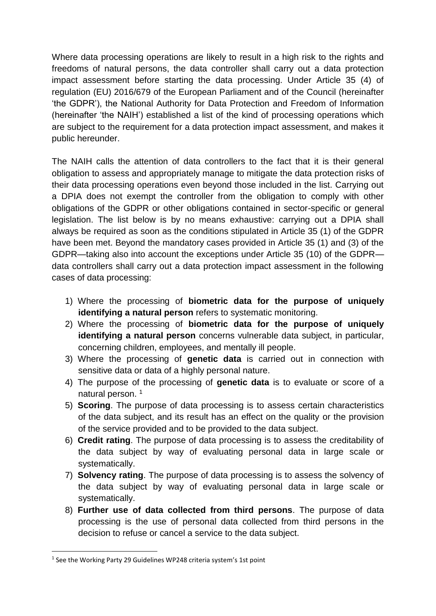Where data processing operations are likely to result in a high risk to the rights and freedoms of natural persons, the data controller shall carry out a data protection impact assessment before starting the data processing. Under Article 35 (4) of regulation (EU) 2016/679 of the European Parliament and of the Council (hereinafter 'the GDPR'), the National Authority for Data Protection and Freedom of Information (hereinafter 'the NAIH') established a list of the kind of processing operations which are subject to the requirement for a data protection impact assessment, and makes it public hereunder.

The NAIH calls the attention of data controllers to the fact that it is their general obligation to assess and appropriately manage to mitigate the data protection risks of their data processing operations even beyond those included in the list. Carrying out a DPIA does not exempt the controller from the obligation to comply with other obligations of the GDPR or other obligations contained in sector-specific or general legislation. The list below is by no means exhaustive: carrying out a DPIA shall always be required as soon as the conditions stipulated in Article 35 (1) of the GDPR have been met. Beyond the mandatory cases provided in Article 35 (1) and (3) of the GDPR—taking also into account the exceptions under Article 35 (10) of the GDPR data controllers shall carry out a data protection impact assessment in the following cases of data processing:

- 1) Where the processing of **biometric data for the purpose of uniquely identifying a natural person** refers to systematic monitoring.
- 2) Where the processing of **biometric data for the purpose of uniquely identifying a natural person** concerns vulnerable data subject, in particular, concerning children, employees, and mentally ill people.
- 3) Where the processing of **genetic data** is carried out in connection with sensitive data or data of a highly personal nature.
- 4) The purpose of the processing of **genetic data** is to evaluate or score of a natural person.<sup>1</sup>
- 5) **Scoring**. The purpose of data processing is to assess certain characteristics of the data subject, and its result has an effect on the quality or the provision of the service provided and to be provided to the data subject.
- 6) **Credit rating**. The purpose of data processing is to assess the creditability of the data subject by way of evaluating personal data in large scale or systematically.
- 7) **Solvency rating**. The purpose of data processing is to assess the solvency of the data subject by way of evaluating personal data in large scale or systematically.
- 8) **Further use of data collected from third persons**. The purpose of data processing is the use of personal data collected from third persons in the decision to refuse or cancel a service to the data subject.

1

<sup>&</sup>lt;sup>1</sup> See the Working Party 29 Guidelines WP248 criteria system's 1st point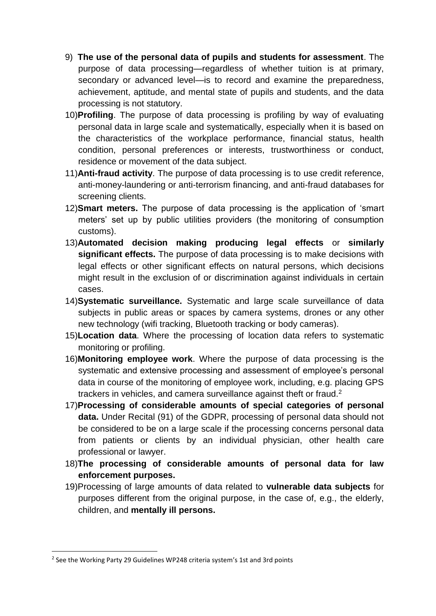- 9) **The use of the personal data of pupils and students for assessment**. The purpose of data processing—regardless of whether tuition is at primary, secondary or advanced level—is to record and examine the preparedness, achievement, aptitude, and mental state of pupils and students, and the data processing is not statutory.
- 10)**Profiling**. The purpose of data processing is profiling by way of evaluating personal data in large scale and systematically, especially when it is based on the characteristics of the workplace performance, financial status, health condition, personal preferences or interests, trustworthiness or conduct, residence or movement of the data subject.
- 11)**Anti-fraud activity**. The purpose of data processing is to use credit reference, anti-money-laundering or anti-terrorism financing, and anti-fraud databases for screening clients.
- 12)**Smart meters.** The purpose of data processing is the application of 'smart meters' set up by public utilities providers (the monitoring of consumption customs).
- 13)**Automated decision making producing legal effects** or **similarly significant effects.** The purpose of data processing is to make decisions with legal effects or other significant effects on natural persons, which decisions might result in the exclusion of or discrimination against individuals in certain cases.
- 14)**Systematic surveillance.** Systematic and large scale surveillance of data subjects in public areas or spaces by camera systems, drones or any other new technology (wifi tracking, Bluetooth tracking or body cameras).
- 15)**Location data**. Where the processing of location data refers to systematic monitoring or profiling.
- 16)**Monitoring employee work**. Where the purpose of data processing is the systematic and extensive processing and assessment of employee's personal data in course of the monitoring of employee work, including, e.g. placing GPS trackers in vehicles, and camera surveillance against theft or fraud.<sup>2</sup>
- 17)**Processing of considerable amounts of special categories of personal data.** Under Recital (91) of the GDPR, processing of personal data should not be considered to be on a large scale if the processing concerns personal data from patients or clients by an individual physician, other health care professional or lawyer.
- 18)**The processing of considerable amounts of personal data for law enforcement purposes.**
- 19)Processing of large amounts of data related to **vulnerable data subjects** for purposes different from the original purpose, in the case of, e.g., the elderly, children, and **mentally ill persons.**

1

<sup>&</sup>lt;sup>2</sup> See the Working Party 29 Guidelines WP248 criteria system's 1st and 3rd points